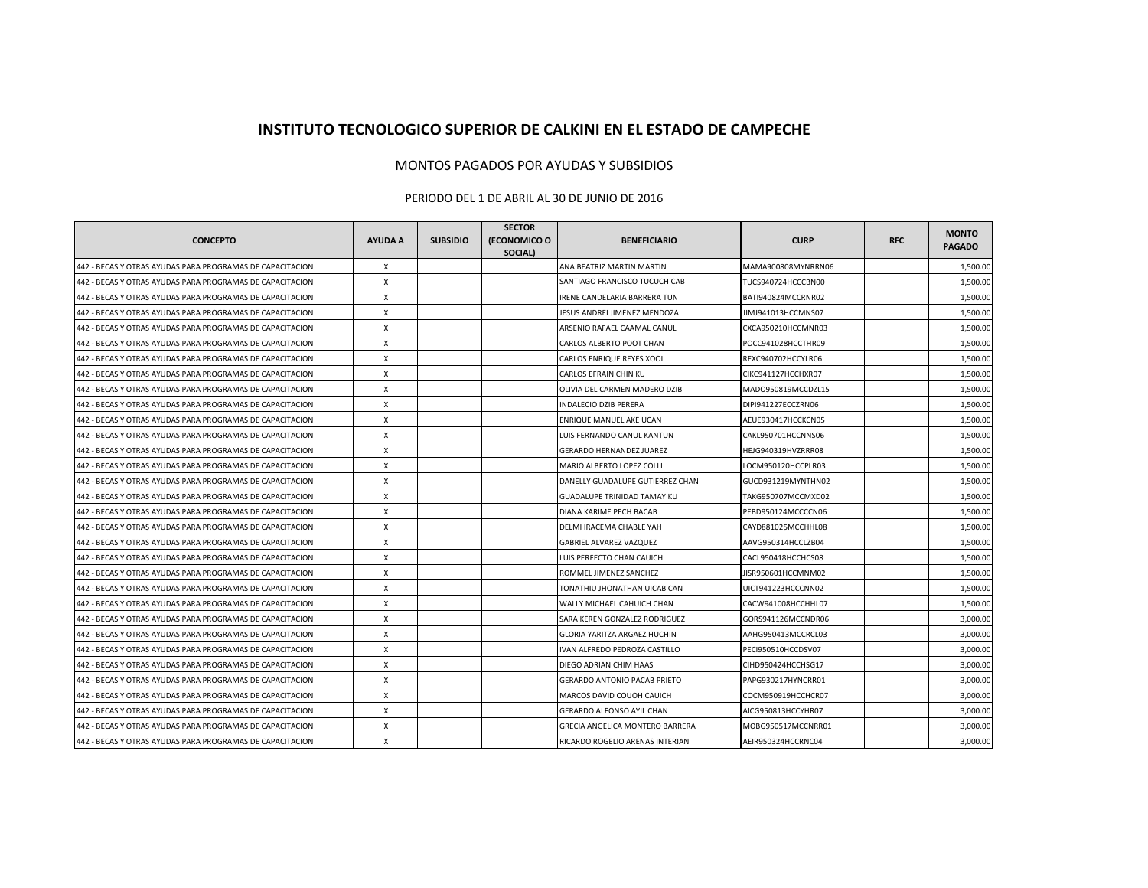## **INSTITUTO TECNOLOGICO SUPERIOR DE CALKINI EN EL ESTADO DE CAMPECHE**

## MONTOS PAGADOS POR AYUDAS Y SUBSIDIOS

## PERIODO DEL 1 DE ABRIL AL 30 DE JUNIO DE 2016

| <b>CONCEPTO</b>                                           | AYUDA A      | <b>SUBSIDIO</b> | <b>SECTOR</b><br>(ECONOMICO O<br>SOCIAL) | <b>BENEFICIARIO</b>                 | <b>CURP</b>        | <b>RFC</b> | <b>MONTO</b><br><b>PAGADO</b> |
|-----------------------------------------------------------|--------------|-----------------|------------------------------------------|-------------------------------------|--------------------|------------|-------------------------------|
| 442 - BECAS Y OTRAS AYUDAS PARA PROGRAMAS DE CAPACITACION | $\pmb{\chi}$ |                 |                                          | ANA BEATRIZ MARTIN MARTIN           | MAMA900808MYNRRN06 |            | 1,500.00                      |
| 442 - BECAS Y OTRAS AYUDAS PARA PROGRAMAS DE CAPACITACION | X            |                 |                                          | SANTIAGO FRANCISCO TUCUCH CAB       | TUCS940724HCCCBN00 |            | 1,500.00                      |
| 442 - BECAS Y OTRAS AYUDAS PARA PROGRAMAS DE CAPACITACION | X            |                 |                                          | RENE CANDELARIA BARRERA TUN         | BATI940824MCCRNR02 |            | 1,500.00                      |
| 442 - BECAS Y OTRAS AYUDAS PARA PROGRAMAS DE CAPACITACION | X            |                 |                                          | <b>IESUS ANDREI JIMENEZ MENDOZA</b> | JIMJ941013HCCMNS07 |            | 1,500.00                      |
| 442 - BECAS Y OTRAS AYUDAS PARA PROGRAMAS DE CAPACITACION | X            |                 |                                          | ARSENIO RAFAEL CAAMAL CANUL         | CXCA950210HCCMNR03 |            | 1,500.00                      |
| 442 - BECAS Y OTRAS AYUDAS PARA PROGRAMAS DE CAPACITACION | X            |                 |                                          | CARLOS ALBERTO POOT CHAN            | POCC941028HCCTHR09 |            | 1,500.00                      |
| 442 - BECAS Y OTRAS AYUDAS PARA PROGRAMAS DE CAPACITACION | X            |                 |                                          | CARLOS ENRIQUE REYES XOOL           | REXC940702HCCYLR06 |            | 1,500.00                      |
| 442 - BECAS Y OTRAS AYUDAS PARA PROGRAMAS DE CAPACITACION | X            |                 |                                          | CARLOS EFRAIN CHIN KU               | CIKC941127HCCHXR07 |            | 1,500.00                      |
| 442 - BECAS Y OTRAS AYUDAS PARA PROGRAMAS DE CAPACITACION | X            |                 |                                          | OLIVIA DEL CARMEN MADERO DZIB       | MADO950819MCCDZL15 |            | 1,500.00                      |
| 442 - BECAS Y OTRAS AYUDAS PARA PROGRAMAS DE CAPACITACION | X            |                 |                                          | NDALECIO DZIB PERERA                | DIPI941227ECCZRN06 |            | 1,500.00                      |
| 442 - BECAS Y OTRAS AYUDAS PARA PROGRAMAS DE CAPACITACION | X            |                 |                                          | ENRIQUE MANUEL AKE UCAN             | AEUE930417HCCKCN05 |            | 1,500.00                      |
| 442 - BECAS Y OTRAS AYUDAS PARA PROGRAMAS DE CAPACITACION | X            |                 |                                          | LUIS FERNANDO CANUL KANTUN          | CAKL950701HCCNNS06 |            | 1,500.00                      |
| 442 - BECAS Y OTRAS AYUDAS PARA PROGRAMAS DE CAPACITACION | X            |                 |                                          | <b>GERARDO HERNANDEZ JUAREZ</b>     | HEJG940319HVZRRR08 |            | 1,500.00                      |
| 442 - BECAS Y OTRAS AYUDAS PARA PROGRAMAS DE CAPACITACION | X            |                 |                                          | MARIO ALBERTO LOPEZ COLLI           | LOCM950120HCCPLR03 |            | 1,500.00                      |
| 442 - BECAS Y OTRAS AYUDAS PARA PROGRAMAS DE CAPACITACION | $\mathsf{X}$ |                 |                                          | DANELLY GUADALUPE GUTIERREZ CHAN    | GUCD931219MYNTHN02 |            | 1,500.00                      |
| 442 - BECAS Y OTRAS AYUDAS PARA PROGRAMAS DE CAPACITACION | Х            |                 |                                          | GUADALUPE TRINIDAD TAMAY KU         | TAKG950707MCCMXD02 |            | 1,500.00                      |
| 442 - BECAS Y OTRAS AYUDAS PARA PROGRAMAS DE CAPACITACION | X            |                 |                                          | DIANA KARIME PECH BACAB             | PEBD950124MCCCCN06 |            | 1,500.00                      |
| 442 - BECAS Y OTRAS AYUDAS PARA PROGRAMAS DE CAPACITACION | $\times$     |                 |                                          | DELMI IRACEMA CHABLE YAH            | CAYD881025MCCHHL08 |            | 1,500.00                      |
| 442 - BECAS Y OTRAS AYUDAS PARA PROGRAMAS DE CAPACITACION | X            |                 |                                          | GABRIEL ALVAREZ VAZQUEZ             | AAVG950314HCCLZB04 |            | 1,500.00                      |
| 442 - BECAS Y OTRAS AYUDAS PARA PROGRAMAS DE CAPACITACION | X            |                 |                                          | LUIS PERFECTO CHAN CAUICH           | CACL950418HCCHCS08 |            | 1,500.00                      |
| 442 - BECAS Y OTRAS AYUDAS PARA PROGRAMAS DE CAPACITACION | X            |                 |                                          | ROMMEL JIMENEZ SANCHEZ              | JISR950601HCCMNM02 |            | 1,500.00                      |
| 442 - BECAS Y OTRAS AYUDAS PARA PROGRAMAS DE CAPACITACION | X            |                 |                                          | TONATHIU JHONATHAN UICAB CAN        | UICT941223HCCCNN02 |            | 1,500.00                      |
| 442 - BECAS Y OTRAS AYUDAS PARA PROGRAMAS DE CAPACITACION | X            |                 |                                          | WALLY MICHAEL CAHUICH CHAN          | CACW941008HCCHHL07 |            | 1,500.00                      |
| 442 - BECAS Y OTRAS AYUDAS PARA PROGRAMAS DE CAPACITACION | X            |                 |                                          | SARA KEREN GONZALEZ RODRIGUEZ       | GORS941126MCCNDR06 |            | 3,000.00                      |
| 442 - BECAS Y OTRAS AYUDAS PARA PROGRAMAS DE CAPACITACION | X            |                 |                                          | GLORIA YARITZA ARGAEZ HUCHIN        | AAHG950413MCCRCL03 |            | 3,000.00                      |
| 442 - BECAS Y OTRAS AYUDAS PARA PROGRAMAS DE CAPACITACION | X            |                 |                                          | VAN ALFREDO PEDROZA CASTILLO        | PECI950510HCCDSV07 |            | 3,000.00                      |
| 442 - BECAS Y OTRAS AYUDAS PARA PROGRAMAS DE CAPACITACION | X            |                 |                                          | DIEGO ADRIAN CHIM HAAS              | CIHD950424HCCHSG17 |            | 3,000.00                      |
| 442 - BECAS Y OTRAS AYUDAS PARA PROGRAMAS DE CAPACITACION | X            |                 |                                          | <b>GERARDO ANTONIO PACAB PRIETO</b> | PAPG930217HYNCRR01 |            | 3,000.00                      |
| 442 - BECAS Y OTRAS AYUDAS PARA PROGRAMAS DE CAPACITACION | X            |                 |                                          | MARCOS DAVID COUOH CAUICH           | COCM950919HCCHCR07 |            | 3.000.00                      |
| 442 - BECAS Y OTRAS AYUDAS PARA PROGRAMAS DE CAPACITACION | X            |                 |                                          | GERARDO ALFONSO AYIL CHAN           | AICG950813HCCYHR07 |            | 3,000.00                      |
| 442 - BECAS Y OTRAS AYUDAS PARA PROGRAMAS DE CAPACITACION | Х            |                 |                                          | GRECIA ANGELICA MONTERO BARRERA     | MOBG950517MCCNRR01 |            | 3,000.00                      |
| 442 - BECAS Y OTRAS AYUDAS PARA PROGRAMAS DE CAPACITACION | X            |                 |                                          | RICARDO ROGELIO ARENAS INTERIAN     | AEIR950324HCCRNC04 |            | 3.000.00                      |